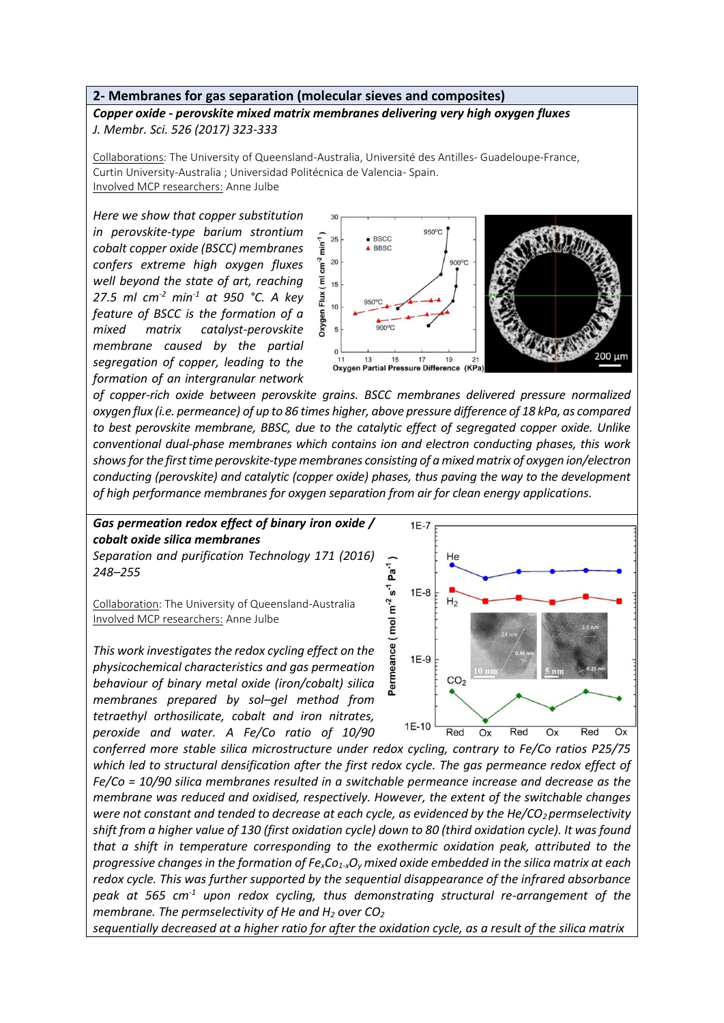## **2- Membranes for gas separation (molecular sieves and composites)**

*Copper oxide - perovskite mixed matrix membranes delivering very high oxygen fluxes J. Membr. Sci. 526 (2017) 323-333*

Collaborations: The University of Queensland-Australia, Université des Antilles- Guadeloupe-France, Curtin University-Australia ; Universidad Politécnica de Valencia- Spain. Involved MCP researchers: Anne Julbe

*Here we show that copper substitution in perovskite-type barium strontium cobalt copper oxide (BSCC) membranes confers extreme high oxygen fluxes well beyond the state of art, reaching 27.5 ml cm-2 min-1 at 950 °C. A key feature of BSCC is the formation of a mixed matrix catalyst-perovskite membrane caused by the partial segregation of copper, leading to the formation of an intergranular network* 



*of copper-rich oxide between perovskite grains. BSCC membranes delivered pressure normalized oxygen flux (i.e. permeance) of up to 86 times higher, above pressure difference of 18 kPa, as compared to best perovskite membrane, BBSC, due to the catalytic effect of segregated copper oxide. Unlike conventional dual-phase membranes which contains ion and electron conducting phases, this work shows for the first time perovskite-type membranes consisting of a mixed matrix of oxygen ion/electron conducting (perovskite) and catalytic (copper oxide) phases, thus paving the way to the development of high performance membranes for oxygen separation from air for clean energy applications.*

*Gas permeation redox effect of binary iron oxide / cobalt oxide silica membranes Separation and purification Technology 171 (2016) 248–255*

Collaboration: The University of Queensland-Australia Involved MCP researchers: Anne Julbe

*This work investigates the redox cycling effect on the physicochemical characteristics and gas permeation behaviour of binary metal oxide (iron/cobalt) silica membranes prepared by sol–gel method from tetraethyl orthosilicate, cobalt and iron nitrates, peroxide and water. A Fe/Co ratio of 10/90* 



*conferred more stable silica microstructure under redox cycling, contrary to Fe/Co ratios P25/75 which led to structural densification after the first redox cycle. The gas permeance redox effect of Fe/Co = 10/90 silica membranes resulted in a switchable permeance increase and decrease as the membrane was reduced and oxidised, respectively. However, the extent of the switchable changes were not constant and tended to decrease at each cycle, as evidenced by the He/CO2 permselectivity shift from a higher value of 130 (first oxidation cycle) down to 80 (third oxidation cycle). It was found that a shift in temperature corresponding to the exothermic oxidation peak, attributed to the progressive changes in the formation of FexCo1-xO<sup>y</sup> mixed oxide embedded in the silica matrix at each redox cycle. This was further supported by the sequential disappearance of the infrared absorbance peak at 565 cm-1 upon redox cycling, thus demonstrating structural re-arrangement of the membrane. The permselectivity of He and H<sup>2</sup> over CO<sup>2</sup>*

*sequentially decreased at a higher ratio for after the oxidation cycle, as a result of the silica matrix*